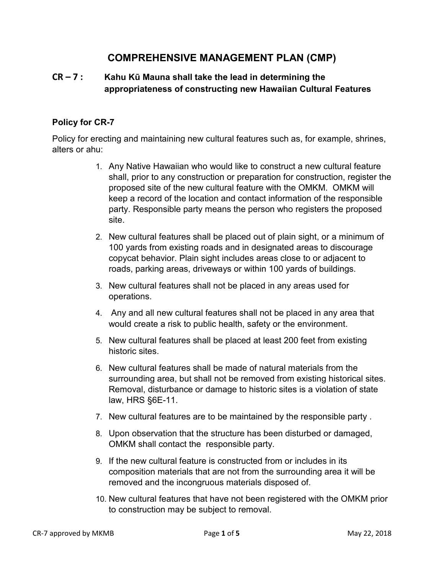# **COMPREHENSIVE MANAGEMENT PLAN (CMP)**

### **CR – 7 : Kahu Kū Mauna shall take the lead in determining the appropriateness of constructing new Hawaiian Cultural Features**

### **Policy for CR-7**

Policy for erecting and maintaining new cultural features such as, for example, shrines, alters or ahu:

- 1. Any Native Hawaiian who would like to construct a new cultural feature shall, prior to any construction or preparation for construction, register the proposed site of the new cultural feature with the OMKM. OMKM will keep a record of the location and contact information of the responsible party. Responsible party means the person who registers the proposed site.
- 2. New cultural features shall be placed out of plain sight, or a minimum of 100 yards from existing roads and in designated areas to discourage copycat behavior. Plain sight includes areas close to or adjacent to roads, parking areas, driveways or within 100 yards of buildings.
- 3. New cultural features shall not be placed in any areas used for operations.
- 4. Any and all new cultural features shall not be placed in any area that would create a risk to public health, safety or the environment.
- 5. New cultural features shall be placed at least 200 feet from existing historic sites.
- 6. New cultural features shall be made of natural materials from the surrounding area, but shall not be removed from existing historical sites. Removal, disturbance or damage to historic sites is a violation of state law, HRS §6E-11.
- 7. New cultural features are to be maintained by the responsible party .
- 8. Upon observation that the structure has been disturbed or damaged, OMKM shall contact the responsible party.
- 9. If the new cultural feature is constructed from or includes in its composition materials that are not from the surrounding area it will be removed and the incongruous materials disposed of.
- 10. New cultural features that have not been registered with the OMKM prior to construction may be subject to removal.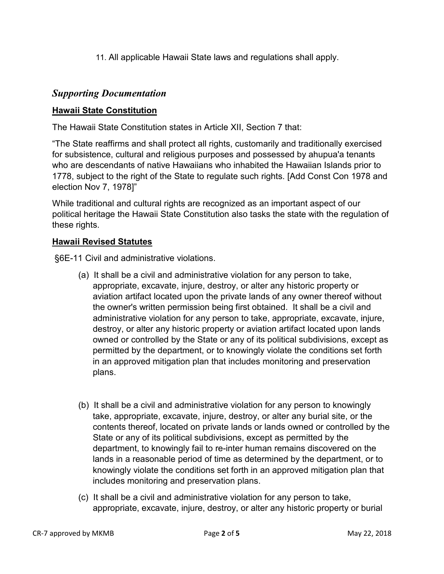11. All applicable Hawaii State laws and regulations shall apply.

## *Supporting Documentation*

### **Hawaii State Constitution**

The Hawaii State Constitution states in Article XII, Section 7 that:

"The State reaffirms and shall protect all rights, customarily and traditionally exercised for subsistence, cultural and religious purposes and possessed by ahupua'a tenants who are descendants of native Hawaiians who inhabited the Hawaiian Islands prior to 1778, subject to the right of the State to regulate such rights. [Add Const Con 1978 and election Nov 7, 1978]"

While traditional and cultural rights are recognized as an important aspect of our political heritage the Hawaii State Constitution also tasks the state with the regulation of these rights.

### **Hawaii Revised Statutes**

§6E-11 Civil and administrative violations.

- (a) It shall be a civil and administrative violation for any person to take, appropriate, excavate, injure, destroy, or alter any historic property or aviation artifact located upon the private lands of any owner thereof without the owner's written permission being first obtained. It shall be a civil and administrative violation for any person to take, appropriate, excavate, injure, destroy, or alter any historic property or aviation artifact located upon lands owned or controlled by the State or any of its political subdivisions, except as permitted by the department, or to knowingly violate the conditions set forth in an approved mitigation plan that includes monitoring and preservation plans.
- (b) It shall be a civil and administrative violation for any person to knowingly take, appropriate, excavate, injure, destroy, or alter any burial site, or the contents thereof, located on private lands or lands owned or controlled by the State or any of its political subdivisions, except as permitted by the department, to knowingly fail to re-inter human remains discovered on the lands in a reasonable period of time as determined by the department, or to knowingly violate the conditions set forth in an approved mitigation plan that includes monitoring and preservation plans.
- (c) It shall be a civil and administrative violation for any person to take, appropriate, excavate, injure, destroy, or alter any historic property or burial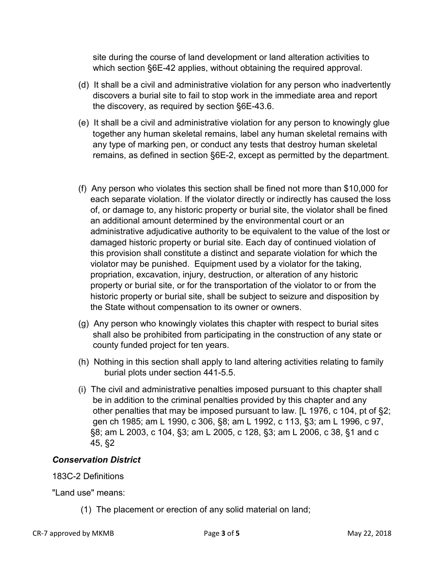site during the course of land development or land alteration activities to which section §6E-42 applies, without obtaining the required approval.

- (d) It shall be a civil and administrative violation for any person who inadvertently discovers a burial site to fail to stop work in the immediate area and report the discovery, as required by section §6E-43.6.
- (e) It shall be a civil and administrative violation for any person to knowingly glue together any human skeletal remains, label any human skeletal remains with any type of marking pen, or conduct any tests that destroy human skeletal remains, as defined in section §6E-2, except as permitted by the department.
- (f) Any person who violates this section shall be fined not more than \$10,000 for each separate violation. If the violator directly or indirectly has caused the loss of, or damage to, any historic property or burial site, the violator shall be fined an additional amount determined by the environmental court or an administrative adjudicative authority to be equivalent to the value of the lost or damaged historic property or burial site. Each day of continued violation of this provision shall constitute a distinct and separate violation for which the violator may be punished. Equipment used by a violator for the taking, propriation, excavation, injury, destruction, or alteration of any historic property or burial site, or for the transportation of the violator to or from the historic property or burial site, shall be subject to seizure and disposition by the State without compensation to its owner or owners.
- (g) Any person who knowingly violates this chapter with respect to burial sites shall also be prohibited from participating in the construction of any state or county funded project for ten years.
- (h) Nothing in this section shall apply to land altering activities relating to family burial plots under section 441-5.5.
- (i) The civil and administrative penalties imposed pursuant to this chapter shall be in addition to the criminal penalties provided by this chapter and any other penalties that may be imposed pursuant to law. [L 1976, c 104, pt of §2; gen ch 1985; am L 1990, c 306, §8; am L 1992, c 113, §3; am L 1996, c 97, §8; am L 2003, c 104, §3; am L 2005, c 128, §3; am L 2006, c 38, §1 and c 45, §2

### *Conservation District*

### 183C-2 Definitions

"Land use" means:

(1) The placement or erection of any solid material on land;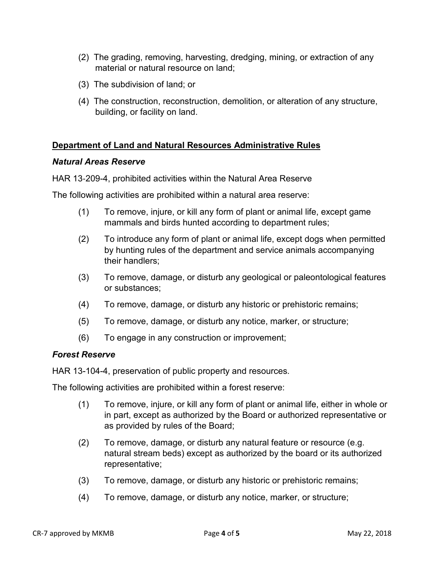- (2) The grading, removing, harvesting, dredging, mining, or extraction of any material or natural resource on land;
- (3) The subdivision of land; or
- (4) The construction, reconstruction, demolition, or alteration of any structure, building, or facility on land.

### **Department of Land and Natural Resources Administrative Rules**

#### *Natural Areas Reserve*

HAR 13‐209-4, prohibited activities within the Natural Area Reserve

The following activities are prohibited within a natural area reserve:

- (1) To remove, injure, or kill any form of plant or animal life, except game mammals and birds hunted according to department rules;
- (2) To introduce any form of plant or animal life, except dogs when permitted by hunting rules of the department and service animals accompanying their handlers;
- (3) To remove, damage, or disturb any geological or paleontological features or substances;
- (4) To remove, damage, or disturb any historic or prehistoric remains;
- (5) To remove, damage, or disturb any notice, marker, or structure;
- (6) To engage in any construction or improvement;

### *Forest Reserve*

HAR 13-104-4, preservation of public property and resources.

The following activities are prohibited within a forest reserve:

- (1) To remove, injure, or kill any form of plant or animal life, either in whole or in part, except as authorized by the Board or authorized representative or as provided by rules of the Board;
- (2) To remove, damage, or disturb any natural feature or resource (e.g. natural stream beds) except as authorized by the board or its authorized representative;
- (3) To remove, damage, or disturb any historic or prehistoric remains;
- (4) To remove, damage, or disturb any notice, marker, or structure;